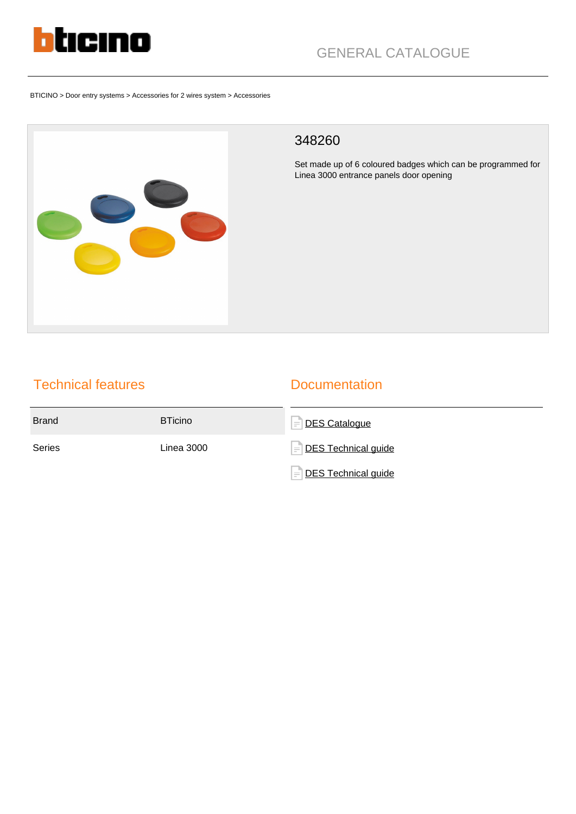

BTICINO > Door entry systems > Accessories for 2 wires system > Accessories



### 348260

Set made up of 6 coloured badges which can be programmed for Linea 3000 entrance panels door opening

# Technical features

## **Documentation**

| <b>Brand</b> | <b>BTicino</b>    | DES Catalogue<br>$=$                          |
|--------------|-------------------|-----------------------------------------------|
| Series       | <b>Linea 3000</b> | $=\overline{\phantom{a}}$ DES Technical guide |
|              |                   | $=\overline{\phantom{a}}$ DES Technical guide |